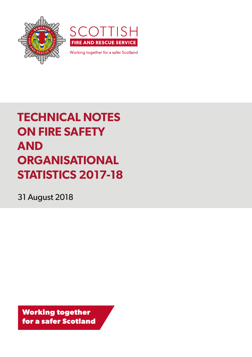



Working together for a safer Scotland

# **TECHNICAL NOTES ON FIRE SAFETY AND ORGANISATIONAL STATISTICS 2017-18**

31 August 2018

**Working together for a safer Scotland**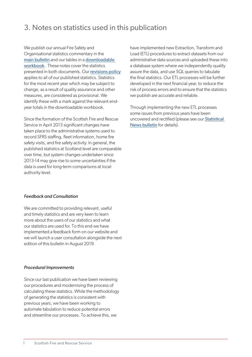# 3. Notes on statistics used in this publication

We publish our annual Fire Safety and Organisational statistics commentary in the [main bulletin](http://www.firescotland.gov.uk/about-us/fire-and-rescue-statistics.aspx) and our tables in a [downloadable](http://www.firescotland.gov.uk/about-us/fire-and-rescue-statistics.aspx)  [workbook](http://www.firescotland.gov.uk/about-us/fire-and-rescue-statistics.aspx) . These notes cover the statistics presented in both documents. Our [revisions policy](http://www.firescotland.gov.uk/about-us/fire-and-rescue-statistics.aspx) applies to all of our published statistics. Statistics for the most recent year which may be subject to change, as a result of quality assurance and other measures, are considered as provisional. We identify these with a mark against the relevant endyear totals in the downloadable workbook.

Since the formation of the Scottish Fire and Rescue Service in April 2013 significant changes have taken place to the administrative systems used to record SFRS staffing, fleet information, home fire safety visits, and fire safety activity. In general, the published statistics at Scotland level are comparable over time, but system changes undertaken since 2013-14 may give rise to some uncertainties if the data is used for long-term comparisons at localauthority level.

#### *Feedback and Consultation*

We are committed to providing relevant, useful and timely statistics and are very keen to learn more about the users of our statistics and what our statistics are used for. To this end we have implemented a feedback form on our website and we will launch a user consultation alongside the next edition of this bulletin in August 2019.

#### *Procedural Improvements*

Since our last publication we have been reviewing our procedures and modernising the process of calculating these statistics. While the methodology of generating the statistics is consistent with previous years, we have been working to automate tabulation to reduce potential errors and streamline our processes. To achieve this, we

have implemented new Extraction, Transform and Load (ETL) procedures to extract datasets from our administrative data sources and uploaded these into a database system where we independently quality assure the data, and use SQL queries to tabulate the final statistics. Our ETL processes will be further developed in the next financial year, to reduce the risk of process errors and to ensure that the statistics we publish are accurate and reliable.

Through implementing the new ETL processes some issues from previous years have been uncovered and rectified (please see our [Statistical](http://www.firescotland.gov.uk/about-us/fire-and-rescue-statistics.aspx)  [News bulletin](http://www.firescotland.gov.uk/about-us/fire-and-rescue-statistics.aspx) for details).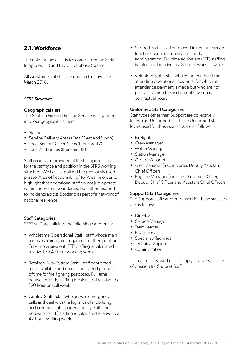# **2.1. Workforce**

The data for these statistics comes from the SFRS Integrated HR and Payroll Database System.

All workforce statistics are counted relative to 31st March 2018.

#### *SFRS Structure*

#### Geographical tiers

The Scottish Fire and Rescue Service is organised into four geographical tiers:

- National
- Service Delivery Areas (East, West and North)
- Local Senior Officer Areas (there are 17)
- Local Authorities (there are 32)

Staff counts are provided at the tier appropriate for the staff type and position in the SFRS working structure. We have simplified the previously used phrase 'Area of Responsibility' to 'Area' in order to highlight that operational staff do not just operate within these area boundaries, but rather respond to incidents across Scotland as part of a network of national resilience.

#### Staff Categories

SFRS staff are split into the following categories:

- Wholetime Operational Staff staff whose main role is as a firefighter regardless of their position. Full-time equivalent (FTE) staffing is calculated relative to a 42 hour working week.
- Retained Duty System Staff staff contracted to be available and on-call for agreed periods of time for fire-fighting purposes. Full-time equivalent (FTE) staffing is calculated relative to a 120 hour on-call week.
- Control Staff staff who answer emergency calls and deal with the logistics of mobilising and communicating operationally. Full-time equivalent (FTE) staffing is calculated relative to a 42 hour working week.
- Support Staff staff employed in non-uniformed functions such as technical support and administration. Full-time equivalent (FTE) staffing is calculated relative to a 35 hour working week.
- Volunteer Staff staff who volunteer their time attending operational incidents, for which an attendance payment is made but who are not paid a retaining fee and do not have on-call contractual hours.

#### Uniformed Staff Categories

Staff types other than Support are collectively known as 'Uniformed' staff. The Uniformed staff levels used for these statistics are as follows:

- Firefighter
- Crew Manager
- Watch Manager
- Station Manager
- Group Manager
- Area Manager (also includes Deputy Assistant Chief Officers)
- Brigade Manager (includes the Chief Officer, Deputy Chief Officer and Assistant Chief Officers)

#### Support Staff Categories

The Support staff categories used for these statistics are as follows:

- Director
- Service Manager
- Team Leader
- Professional
- Specialist/Technical
- Technical Support
- Administration

The categories used do not imply relative seniority of position for Support Staff.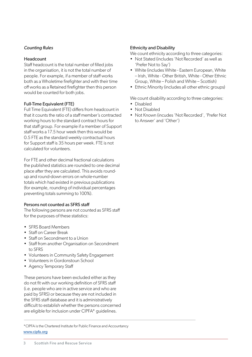#### *Counting Rules*

#### Headcount

Staff headcount is the total number of filled jobs in the organisation, it is not the total number of people. For example, if a member of staff works both as a Wholetime firefighter and with their time off works as a Retained firefighter then this person would be counted for both jobs.

#### Full-Time Equivalent (FTE)

Full Time Equivalent (FTE) differs from headcount in that it counts the ratio of a staff member's contracted working hours to the standard contract hours for that staff group. For example if a member of Support staff works a 17.5 hour week then this would be 0.5 FTE as the standard weekly contractual hours for Support staff is 35 hours per week. FTE is not calculated for volunteers.

For FTE and other decimal fractional calculations the published statistics are rounded to one decimal place after they are calculated. This avoids roundup and round-down errors on whole-number totals which had existed in previous publications (for example, rounding of individual percentages preventing totals summing to 100%).

#### Persons not counted as SFRS staff

The following persons are not counted as SFRS staff for the purposes of these statistics:

- SFRS Board Members
- Staff on Career Break
- Staff on Secondment to a Union
- Staff from another Organisation on Secondment to SFRS
- Volunteers in Community Safety Engagement
- Volunteers in Gordonstoun School
- Agency Temporary Staff

These persons have been excluded either as they do not fit with our working definition of SFRS staff (i.e. people who are in active service and who are paid by SFRS) or because they are not included in the SFRS staff database and it is administratively difficult to establish whether the persons concerned are eligible for inclusion under CIPFA\* guidelines.

[www.cipfa.org](http://www.cipfa.org/services/comparative-profiles/fire-and-rescue?crdm=0) \*CIPFA is the Chartered Institute for Public Finance and Accountancy

#### Ethnicity and Disability

We count ethnicity according to three categories:

- Not Stated (includes 'Not Recorded' as well as 'Prefer Not to Say')
- White (includes White Eastern European, White – Irish, White - Other British, White - Other Ethnic Group, White – Polish and White – Scottish)
- Ethnic Minority (includes all other ethnic groups)

We count disability according to three categories:

- Disabled
- Not Disabled
- Not Known (incudes 'Not Recorded', 'Prefer Not to Answer' and 'Other')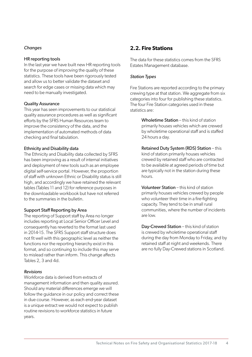#### *Changes*

#### HR reporting tools

In the last year we have built new HR reporting tools for the purpose of improving the quality of these statistics. These tools have been rigorously tested and allow us to better validate the dataset and search for edge cases or missing data which may need to be manually investigated.

#### Quality Assurance

This year has seen improvements to our statistical quality assurance procedures as well as significant efforts by the SFRS Human Resources team to improve the consistency of the data, and the implementation of automated methods of data checking and final tabulation.

#### Ethnicity and Disability data

The Ethnicity and Disability data collected by SFRS has been improving as a result of internal initiatives and deployment of new tools such as an employee digital self-service portal. However, the proportion of staff with unknown Ethnic or Disability status is still high, and accordingly we have retained the relevant tables (Tables 11 and 12) for reference purposes in the downloadable workbook but have not referred to the summaries in the bulletin.

#### Support Staff Reporting by Area

The reporting of Support staff by Area no longer includes reporting at Local Senior Officer Level and consequently has reverted to the format last used in 2014-15. The SFRS Support staff structure does not fit well with this geographic level as neither the functions nor the reporting hierarchy exist in this format, and so continuing to include this may serve to mislead rather than inform. This change affects Tables 2, 3 and 4d.

#### *Revisions*

Workforce data is derived from extracts of management information and then quality assured. Should any material differences emerge we will follow the guidance in our policy and correct these in due course. However, as each end-year dataset is a unique extract we would not expect to publish routine revisions to workforce statistics in future years.

### **2.2. Fire Stations**

The data for these statistics comes from the SFRS Estates Management database.

#### *Station Types*

Fire Stations are reported according to the primary crewing type at that station. We aggregate from six categories into four for publishing these statistics. The four Fire Station categories used in these statistics are:

> Wholetime Station – this kind of station primarily houses vehicles which are crewed by wholetime operational staff and is staffed 24 hours a day.

Retained Duty System (RDS) Station – this kind of station primarily houses vehicles crewed by retained staff who are contracted to be available at agreed periods of time but are typically not in the station during these hours.

Volunteer Station – this kind of station primarily houses vehicles crewed by people who volunteer their time in a fire-fighting capacity. They tend to be in small rural communities, where the number of incidents are low.

Day-Crewed Station – this kind of station is crewed by wholetime operational staff during the day from Monday to Friday, and by retained staff at night and weekends. There are no fully Day-Crewed stations in Scotland.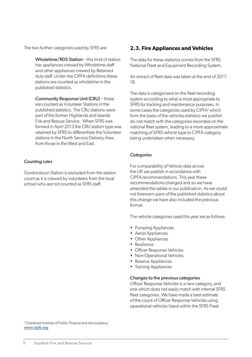The two further categories used by SFRS are:

Wholetime/RDS Station – this kind of station has appliances crewed by Wholetime staff and other appliances crewed by Retained duty staff. Under the CIPFA definitions these stations are counted as wholetime in the published statistics.

Community Response Unit (CRU) – these are counted as Volunteer Stations in the published statistics. The CRU stations were part of the former Highlands and Islands Fire and Rescue Service. When SFRS was formed in April 2013 the CRU station type was retained by SFRS to differentiate the Volunteer stations in the North Service Delivery Area from those in the West and East.

#### *Counting rules*

Gordonstoun Station is excluded from the station count as it is crewed by volunteers from the local school who are not counted as SFRS staff.

### **2.3. Fire Appliances and Vehicles**

The data for these statistics comes from the SFRS National Fleet and Equipment Recording System.

An extract of fleet data was taken at the end of 2017- 18.

The data is categorised on the fleet recording system according to what is most appropriate to SFRS for tracking and maintenance purposes. In some cases the categories used by CIPFA<sup>1</sup> which form the basis of the vehicles statistics we publish do not match with the categories recorded on the national fleet system, leading to a more approximate matching of SFRS vehicle type to CIPFA category being undertaken when necessary.

#### *Categories*

For comparability of Vehicle data across the UK we publish in accordance with CIPFA recommendations. This year these recommendations changed and so we have amended the tables in our publication. As we could not forewarn users of the published statistics about this change we have also included the previous format.

The vehicle categories used this year are as follows:

- Pumping Appliances
- Aerial Appliances
- Other Appliances
- Resilience
- Officer Response Vehicles
- Non-Operational Vehicles
- Reserve Appliances
- Training Appliances

#### Changes to the previous categories

Officer Response Vehicles is a new category, and one which does not easily match with internal SFRS fleet categories. We have made a best estimate of the count of Officer Response Vehicles using operational vehicles listed within the SFRS Fleet

<sup>1</sup> Chartered Institute of Public Finance and Accountancy [www.cipfa.org](http://www.cipfa.org/services/comparative-profiles/fire-and-rescue?crdm=0)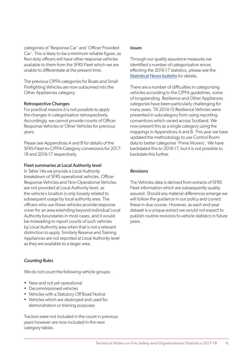categories of 'Response Car' and 'Officer Provided Car'. This is likely to be a minimum reliable figure, as flexi-duty officers will have other response vehicles available to them from the SFRS Fleet which we are unable to differentiate at the present time.

The previous CIPFA categories for Boats and Small Firefighting Vehicles are now subsumed into the Other Appliances category.

#### Retrospective Changes

For practical reasons it is not possible to apply the changes in categorisation retrospectively. Accordingly, we cannot provide counts of Officer Response Vehicles or Other Vehicles for previous years.

Please see Appendices A and B for details of the SFRS-Fleet-to-CIPFA-Category conversions for 2017- 18 and 2016-17 respectively.

#### Fleet summaries at Local Authority level

In Table 14a we provide a Local Authority breakdown of SFRS operational vehicles. Officer Response Vehicles and Non-Operational Vehicles are not provided at Local Authority level, as the vehicle's location is only loosely related to subsequent usage by local authority area. The officers who use these vehicles provide response cover for an area extending beyond individual Local Authority boundaries in most cases, and it would be misleading to report counts of such vehicles by Local Authority area when that is not a relevant distinction to apply. Similarly Reserve and Training Appliances are not reported at Local Authority level as they are available to a larger area.

#### *Counting Rules*

We do not count the following vehicle groups:

- New and not yet operational
- Decommissioned vehicles
- Vehicles with a Statutory Off Road Notice
- Vehicles which are destroyed and used for demonstration or training purposes

Tractors were not included in the count in previous years however are now included in the new category tables.

#### *Issues*

Through our quality assurance measures we identified a number of categorisation errors effecting the 2016-17 statistics, please see the [Statistical News](http://www.firescotland.gov.uk/about-us/fire-and-rescue-statistics.aspx) bulletin for details.

There are a number of difficulties in categorising vehicles according to the CIPFA guidelines, some of longstanding. Resilience and Other Appliances categories have been particularly challenging for many years. Till 2014-15 Resilience Vehicles were presented in subcategory form using reporting conventions which varied across Scotland. We now present this as a single category using the mappings in Appendices A and B. This year we have updated the methodology to use Control Room data to better categorise 'Prime Movers'. We have backdated this to 2016-17, but it is not possible to backdate this further.

#### *Revisions*

The Vehicles data is derived from extracts of SFRS Fleet information which are subsequently quality assured. Should any material differences emerge we will follow the guidance in our policy and correct these in due course. However, as each end-year dataset is a unique extract we would not expect to publish routine revisions to vehicle statistics in future years.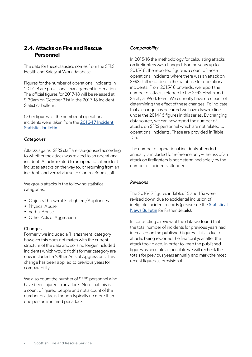# **2.4. Attacks on Fire and Rescue Personnel**

The data for these statistics comes from the SFRS Health and Safety at Work database.

Figures for the number of operational incidents in 2017-18 are provisional management information. The official figures for 2017-18 will be released at 9.30am on October 31st in the 2017-18 Incident Statistics bulletin.

Other figures for the number of operational incidents were taken from the [2016-17 Incident](http://www.firescotland.gov.uk/media/1213027/2016_17_fire_and_rescue_statistics_tables.xlsx)  [Statistics bulletin](http://www.firescotland.gov.uk/media/1213027/2016_17_fire_and_rescue_statistics_tables.xlsx).

#### *Categories*

Attacks against SFRS staff are categorised according to whether the attack was related to an operational incident. Attacks related to an operational incident includes attacks on the way to, or returning from an incident, and verbal abuse to Control Room staff.

We group attacks in the following statistical categories:

- Objects Thrown at Firefighters/Appliances
- Physical Abuse
- Verbal Abuse
- Other Acts of Aggression

#### **Changes**

Formerly we included a 'Harassment' category however this does not match with the current structure of the data and so is no longer included. Incidents which would fit this former category are now included in 'Other Acts of Aggression'. This change has been applied to previous years for comparability.

We also count the number of SFRS personnel who have been injured in an attack. Note that this is a count of injured people and not a count of the number of attacks though typically no more than one person is injured per attack.

#### *Comparability*

In 2015-16 the methodology for calculating attacks on firefighters was changed. For the years up to 2015-16, the reported figure is a count of those operational incidents where there was an attack on SFRS staff recorded in the database for operational incidents. From 2015-16 onwards, we report the number of attacks referred to the SFRS Health and Safety at Work team. We currently have no means of determining the effect of these changes. To indicate that a change has occurred we have drawn a line under the 2014-15 figures in this series. By changing data source, we can now report the number of attacks on SFRS personnel which are not related to operational incidents. These are provided in Table 15a.

The number of operational incidents attended annually is included for reference only – the risk of an attack on firefighters is not determined solely by the number of incidents attended.

#### *Revisions*

The 2016-17 figures in Tables 15 and 15a were revised down due to accidental inclusion of ineligible incident records (please see the [Statistical](http://www.firescotland.gov.uk/about-us/fire-and-rescue-statistics.aspx)  [News Bulletin](http://www.firescotland.gov.uk/about-us/fire-and-rescue-statistics.aspx) for further details).

In conducting a review of the data we found that the total number of incidents for previous years had increased on the published figures. This is due to attacks being reported the financial year after the attack took place. In order to keep the published figures as accurate as possible we will recheck the totals for previous years annually and mark the most recent figures as provisional.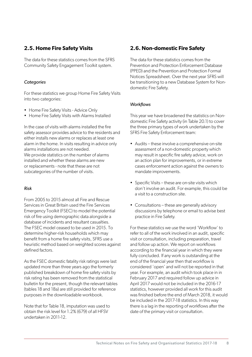# **2.5. Home Fire Safety Visits**

The data for these statistics comes from the SFRS Community Safety Engagement Toolkit system.

#### *Categories*

For these statistics we group Home Fire Safety Visits into two categories:

- Home Fire Safety Visits Advice Only
- Home Fire Safety Visits with Alarms Installed

In the case of visits with alarms installed the fire safety assessor provides advice to the residents and either installs new alarms or replaces at least one alarm in the home. In visits resulting in advice only alarms installations are not needed. We provide statistics on the number of alarms installed and whether these alarms are new or replacements - note that these are not subcategories of the number of visits.

#### *Risk*

From 2005 to 2015 almost all Fire and Rescue Services in Great Britain used the Fire Services Emergency Toolkit (FSEC) to model the potential risk of fire using demographic data alongside a database of incidents and resultant casualties. The FSEC model ceased to be used in 2015. To determine higher-risk households which may benefit from a home fire safety visits, SFRS use a heuristic method based on weighted scores against defined factors.

As the FSEC domestic fatality risk ratings were last updated more than three years ago the formerly published breakdown of home fire safety visits by risk rating has been removed from the statistical bulletin for the present, though the relevant tables (tables 18 and 18a) are still provided for reference purposes in the downloadable workbook.

Note that for Table 18, imputation was used to obtain the risk level for 1.2% (679) of all HFSV undertaken in 2011-12.

### **2.6. Non-domestic Fire Safety**

The data for these statistics comes from the Prevention and Protection Enforcement Database (PPED) and the Prevention and Protection Formal Notices Spreadsheet. Over the next year SFRS will be transitioning to a new Database System for Nondomestic Fire Safety.

#### *Workflows*

This year we have broadened the statistics on Nondomestic Fire Safety activity (in Table 20.1) to cover the three primary types of work undertaken by the SFRS Fire Safety Enforcement team:

- Audits these involve a comprehensive on-site assessment of a non-domestic property which may result in specific fire safety advice, work on an action plan for improvements, or in extreme cases enforcement action against the owners to mandate improvements.
- Specific Visits these are on-site visits which don't involve an audit. For example, this could be a visit to a construction site.
- Consultations these are generally advisory discussions by telephone or email to advise best practice in Fire Safety.

For these statistics we use the word 'Workflow' to refer to all of the work involved in an audit, specific visit or consultation, including preparation, travel and follow up action. We report on workflows according to the financial year in which they were fully concluded. If any work is outstanding at the end of the financial year then that workflow is considered 'open' and will not be reported in that year. For example, an audit which took place in in February 2017 and required follow up advice in April 2017 would not be included in the 2016-17 statistics, however provided all work for this audit was finished before the end of March 2018, it would be included in the 2017-18 statistics. In this way there is a lag in the reporting of workflows after the date of the primary visit or consultation.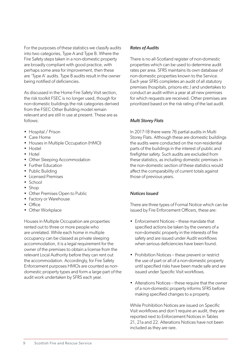For the purposes of these statistics we classify audits into two categories, Type A and Type B. Where the Fire Safety steps taken in a non-domestic property are broadly compliant with good practice, with perhaps some area for improvement, then these are 'Type A' audits. Type B audits result in the owner being notified of deficiencies.

As discussed in the Home Fire Safety Visit section, the risk toolkit FSEC is no longer used, though for non-domestic buildings the risk categories derived from the FSEC Other Building model remain relevant and are still in use at present. These are as follows:

- Hospital / Prison
- Care Home
- Houses in Multiple Occupation (HMO)
- Hostel
- Hotel
- Other Sleeping Accommodation
- Further Education
- Public Building
- Licensed Premises
- School
- Shop
- Other Premises Open to Public
- Factory or Warehouse
- Office
- Other Workplace

Houses in Multiple Occupation are properties rented out to three or more people who are unrelated. While each home in multiple occupancy can be classed as private sleeping accommodation, it is a legal requirement for the owner of the premises to obtain a license from the relevant Local Authority before they can rent out the accommodation. Accordingly, for Fire Safety Enforcement purposes HMOs are counted as nondomestic property types and form a large part of the audit work undertaken by SFRS each year.

#### *Rates of Audits*

There is no all-Scotland register of non-domestic properties which can be used to determine audit rates per area. SFRS maintains its own database of non-domestic properties known to the Service. Each year SFRS completes an audit of all statutory premises (hospitals, prisons etc.) and undertakes to conduct an audit within a year at all new premises for which requests are received. Other premises are prioritized based on the risk rating of the last audit.

#### *Multi Storey Flats*

In 2017-18 there were 76 partial audits in Multi Storey Flats. Although these are domestic buildings the audits were conducted on the non-residential parts of the buildings in the interest of public and firefighter safety. Such audits are excluded from these statistics, as including domestic premises in the non-domestic section of these statistics would affect the comparability of current totals against those of previous years.

#### *Notices Issued*

There are three types of Formal Notice which can be issued by Fire Enforcement Officers, these are:

- Enforcement Notices these mandate that specified actions be taken by the owners of a non-domestic property in the interests of fire safety and are issued under Audit workflows when serious deficiencies have been found.
- Prohibition Notices these prevent or restrict the use of part or all of a non-domestic property until specified risks have been made safe and are issued under Specific Visit workflows.
- Alterations Notices these require that the owner of a non-domestic property informs SFRS before making specified changes to a property.

While Prohibition Notices are issued on Specific Visit workflows and don't require an audit, they are reported next to Enforcement Notices in Tables 21, 21a and 22. Alterations Notices have not been included as they are rare.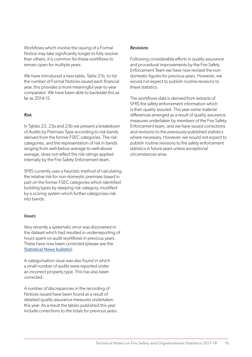Workflows which involve the issuing of a Formal Notice may take significantly longer to fully resolve than others; it is common for these workflows to remain open for multiple years.

We have introduced a new table, Table 21b, to list the number of Formal Notices issued each financial year, this provides a more meaningful year-to-year comparator. We have been able to backdate this as far as 2014-15.

#### *Risk*

In Tables 23, 23a and 23b we present a breakdown of Audits by Premises Type according to risk bands derived from the former FSEC categories. The risk categories, and the representation of risk in bands ranging from well-below average to well-above average, does not reflect the risk ratings applied internally by the Fire Safety Enforcement team.

SFRS currently uses a heuristic method of calculating the relative risk for non-domestic premises based in part on the former FSEC categories which identified building types by sleeping risk category, modified by a scoring system which further categorises risk into bands.

#### *Issues*

Very recently a systematic error was discovered in the dataset which had resulted in underreporting of hours spent on audit workflows in previous years. These have now been corrected (please see the [Statistical News bulletin](http://www.firescotland.gov.uk/about-us/fire-and-rescue-statistics.aspx)).

A categorisation issue was also found in which a small number of audits were reported under an incorrect property type. This has also been corrected.

A number of discrepancies in the recording of Notices issued have been found as a result of detailed quality assurance measures undertaken this year. As a result the tables published this year include corrections to the totals for previous years.

#### *Revisions*

Following considerable efforts in quality assurance and procedural improvements by the Fire Safety Enforcement Team we have now revised the nondomestic figures for previous years. However, we would not expect to publish routine revisions to these statistics.

The workflows data is derived from extracts of SFRS fire safety enforcement information which is then quality assured. This year some material differences emerged as a result of quality assurance measures undertaken by members of the Fire Safety Enforcement team, and we have issued corrections and revisions to the previously-published statistics where necessary. However, we would not expect to publish routine revisions to fire safety enforcement statistics in future years unless exceptional circumstances arise.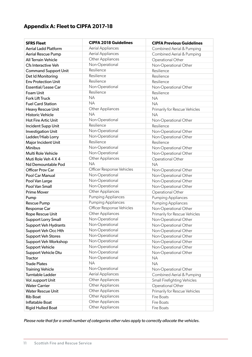# **Appendix A: Fleet to CIPFA 2017-18**

| <b>SFRS Fleet</b>           | <b>CIPFA 2018 Guidelines</b> | <b>CIPFA Previous Guidelines</b> |
|-----------------------------|------------------------------|----------------------------------|
| <b>Aerial Ladd Platform</b> | Aerial Appliances            | Combined Aerial & Pumping        |
| Aerial Rescue Pump          | Aerial Appliances            | Combined Aerial & Pumping        |
| <b>All Terrain Vehicle</b>  | Other Appliances             | Operational Other                |
| <b>Cfs Interactive Veh</b>  | Non-Operational              | Non-Operational Other            |
| <b>Command Support Unit</b> | Resilience                   | Resilience                       |
| Det Id Monitoring           | Resilience                   | Resilience                       |
| <b>Env Protection Unit</b>  | Resilience                   | Resilience                       |
| Essential/Lease Car         | Non-Operational              | Non-Operational Other            |
| Foam Unit                   | Resilience                   | Resilience                       |
| <b>Fork Lift Truck</b>      | <b>NA</b>                    | <b>NA</b>                        |
| <b>Fuel Card Station</b>    | <b>NA</b>                    | <b>NA</b>                        |
| Heavy Rescue Unit           | Other Appliances             | Primarily for Rescue Vehicles    |
| <b>Historic Vehicle</b>     | <b>NA</b>                    | <b>NA</b>                        |
| <b>Hot Fire Artic Unit</b>  | Non-Operational              | Non-Operational Other            |
| Incident Supp Unit          | Resilience                   | Resilience                       |
| <b>Investigation Unit</b>   | Non-Operational              | Non-Operational Other            |
| Ladder/Hiab Lorry           | Non-Operational              | Non-Operational Other            |
| Major Incident Unit         | Resilience                   | Resilience                       |
| <b>Minibus</b>              | Non-Operational              | Non-Operational Other            |
| Multi Role Vehicle          | Non-Operational              | Non-Operational Other            |
| Muti Role Veh 4 X 4         | Other Appliances             | Operational Other                |
| Nd Demountable Pod          | <b>NA</b>                    | <b>NA</b>                        |
| Officer Prov Car            | Officer Response Vehicles    | Non-Operational Other            |
| Pool Car Manual             | Non-Operational              | Non-Operational Other            |
| Pool Van Large              | Non-Operational              | Non-Operational Other            |
| Pool Van Small              | Non-Operational              | Non-Operational Other            |
| <b>Prime Mover</b>          | Other Appliances             | Operational Other                |
| Pump                        | <b>Pumping Appliances</b>    | <b>Pumping Appliances</b>        |
| <b>Rescue Pump</b>          | <b>Pumping Appliances</b>    | <b>Pumping Appliances</b>        |
| Response Car                | Officer Response Vehicles    | Non-Operational Other            |
| Rope Rescue Unit            | Other Appliances             | Primarily for Rescue Vehicles    |
| <b>Support Lorry Small</b>  | Non-Operational              | Non-Operational Other            |
| <b>Support Veh Hydrants</b> | Non-Operational              | Non-Operational Other            |
| Support Veh Occ Hth         | Non-Operational              | Non-Operational Other            |
| <b>Support Veh Stores</b>   | Non-Operational              | Non-Operational Other            |
| <b>Support Veh Workshop</b> | Non-Operational              | Non-Operational Other            |
| <b>Support Vehicle</b>      | Non-Operational              | Non-Operational Other            |
| Support Vehicle Dtu         | Non-Operational              | Non-Operational Other            |
| Tractor                     | Non-Operational              | <b>NA</b>                        |
| <b>Trade Plates</b>         | <b>NA</b>                    | <b>NA</b>                        |
| <b>Training Vehicle</b>     | Non-Operational              | Non-Operational Other            |
| Turntable Ladder            | Aerial Appliances            | Combined Aerial & Pumping        |
| Vol.support Unit            | Other Appliances             | Small Firefighting Vehicles      |
| <b>Water Carrier</b>        | Other Appliances             | Operational Other                |
| <b>Water Rescue Unit</b>    | Other Appliances             | Primarily for Rescue Vehicles    |
| <b>Rib Boat</b>             | Other Appliances             | Fire Boats                       |
| Inflatable Boat             | Other Appliances             | Fire Boats                       |
| <b>Rigid Hulled Boat</b>    | Other Appliances             | Fire Boats                       |

*Please note that for a small number of categories other rules apply to correctly allocate the vehicles.*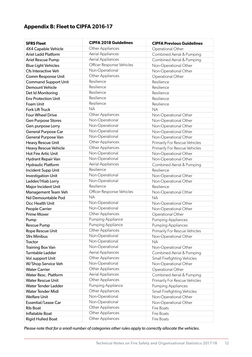# **Appendix B: Fleet to CIPFA 2016-17**

| <b>SFRS Fleet</b>           | <b>CIPFA 2018 Guidelines</b> | <b>CIPFA Previous Guidelines</b> |
|-----------------------------|------------------------------|----------------------------------|
| 4X4 Capable Vehicle         | Other Appliances             | Operational Other                |
| Ariel Ladd Platform         | Aerial Appliances            | Combined Aerial & Pumping        |
| Ariel Rescue Pump           | Aerial Appliances            | Combined Aerial & Pumping        |
| <b>Blue Light Vehicles</b>  | Officer Response Vehicles    | Non-Operational Other            |
| Cfs Interactive Veh         | Non-Operational              | Non-Operational Other            |
| Comm Response Unit          | Other Appliances             | Operational Other                |
| <b>Command Support Unit</b> | Resilience                   | Resilience                       |
| <b>Demount Vehicle</b>      | Resilience                   | Resilience                       |
| Det Id Monitoring           | Resilience                   | Resilience                       |
| <b>Env Protection Unit</b>  | Resilience                   | Resilience                       |
| Foam Unit                   | Resilience                   | Resilience                       |
| Fork Lift Truck             | <b>NA</b>                    | <b>NA</b>                        |
| <b>Four Wheel Drive</b>     | Other Appliances             | Non-Operational Other            |
| <b>Gen Purpose Stores</b>   | Non-Operational              | Non-Operational Other            |
| Gen.purpose Lorry           | Non-Operational              | Non-Operational Other            |
| <b>General Purpose Car</b>  | Non-Operational              | Non-Operational Other            |
| General Purpose Van         | Non-Operational              | Non-Operational Other            |
| Heavy Rescue Unit           | Other Appliances             | Primarily For Rescue Vehicles    |
| Heavy Rescue Vehicle        | Other Appliances             | Primarily For Rescue Vehicles    |
| <b>Hot Fire Artic Unit</b>  | Non-Operational              | Non-Operational Other            |
| Hydrant Repair Van          | Non-Operational              | Non-Operational Other            |
| <b>Hydraulic Platform</b>   | <b>Aerial Appliances</b>     | Combined Aerial & Pumping        |
| Incident Supp Unit          | Resilience                   | Resilience                       |
| <b>Investigation Unit</b>   | Non-Operational              | Non-Operational Other            |
| Ladder/Hiab Lorry           | Non-Operational              | Non-Operational Other            |
| Major Incident Unit         | Resilience                   | Resilience                       |
| Management Team Veh         | Officer Response Vehicles    | Non-Operational Other            |
| Nd Demountable Pod          | <b>NA</b>                    | <b>NA</b>                        |
| Occ Health Unit             | Non-Operational              | Non-Operational Other            |
| People Carrier              | Non-Operational              | Non-Operational Other            |
| <b>Prime Mover</b>          | Other Appliances             | Operational Other                |
| Pump                        | <b>Pumping Appliance</b>     | <b>Pumping Appliances</b>        |
| <b>Rescue Pump</b>          | <b>Pumping Appliance</b>     | <b>Pumping Appliances</b>        |
| Rope Rescue Unit            | Other Appliances             | Primarily For Rescue Vehicles    |
| <b>Sfrs Minibus</b>         | Non-Operational              | Non-Operational Other            |
| Tractor                     | Non-Operational              | <b>NA</b>                        |
| Training Box Van            | Non-Operational              | Non-Operational Other            |
| Turntable Ladder            | Aerial Appliances            | Combined Aerial & Pumping        |
| Vol.support Unit            | Other Appliances             | Small Firefighting Vehicles      |
| W/Shop Service Veh          | Non-Operational              | Non-Operational Other            |
| <b>Water Carrier</b>        | Other Appliances             | Operational Other                |
| <b>Water Resc. Platform</b> | <b>Aerial Appliances</b>     | Combined Aerial & Pumping        |
| <b>Water Rescue Unit</b>    | Other Appliances             | Primarily For Rescue Vehicles    |
| <b>Water Tender Ladder</b>  | Pumping Appliance            | <b>Pumping Appliances</b>        |
| Water Tender Midi           | Other Appliances             | Small Firefighting Vehicles      |
| <b>Welfare Unit</b>         | Non-Operational              | Non-Operational Other            |
| Essential/Lease Car         | Non-Operational              | Non-Operational Other            |
| <b>Rib Boat</b>             | Other Appliances             | Fire Boats                       |
| Inflatable Boat             | Other Appliances             | Fire Boats                       |
| <b>Rigid Hulled Boat</b>    | Other Appliances             | Fire Boats                       |

*Please note that for a small number of categories other rules apply to correctly allocate the vehicles.*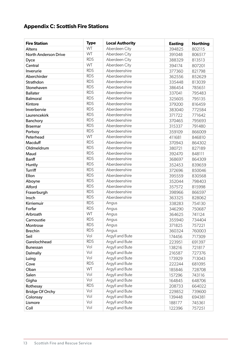# **Appendix C: Scottish Fire Stations**

| <b>Fire Station</b>    | <b>Type</b> | <b>Local Authority</b> | <b>Easting</b> | <b>Northing</b> |
|------------------------|-------------|------------------------|----------------|-----------------|
| Altens                 | WT          | Aberdeen City          | 394825         | 802115          |
| North Anderson Drive   | WT          | Aberdeen City          | 391048         | 806517          |
| Dyce                   | <b>RDS</b>  | Aberdeen City          | 388329         | 813513          |
| Central                | WT          | Aberdeen City          | 394174         | 807201          |
| Inverurie              | <b>RDS</b>  | Aberdeenshire          | 377360         | 821798          |
| Aberchirder            | <b>RDS</b>  | Aberdeenshire          | 362556         | 852629          |
| Strathdon              | <b>RDS</b>  | Aberdeenshire          | 335448         | 813039          |
| Stonehaven             | <b>RDS</b>  | Aberdeenshire          | 386454         | 785651          |
| <b>Ballater</b>        | <b>RDS</b>  | Aberdeenshire          | 337041         | 795483          |
| <b>Balmoral</b>        | <b>RDS</b>  | Aberdeenshire          | 325605         | 795135          |
| Kintore                | <b>RDS</b>  | Aberdeenshire          | 379200         | 816459          |
| Inverbervie            | <b>RDS</b>  | Aberdeenshire          | 383040         | 772584          |
| Laurencekirk           | <b>RDS</b>  | Aberdeenshire          | 371722         | 771642          |
| Banchory               | <b>RDS</b>  | Aberdeenshire          | 370465         | 795693          |
| <b>Braemar</b>         | <b>RDS</b>  | Aberdeenshire          | 315337         | 791480          |
| Portsoy                | <b>RDS</b>  | Aberdeenshire          | 359109         | 866009          |
| Peterhead              | WT          | Aberdeenshire          | 411681         | 846810          |
| Macduff                | <b>RDS</b>  | Aberdeenshire          | 370943         | 864302          |
| Oldmeldrum             | <b>RDS</b>  | Aberdeenshire          | 380721         | 827189          |
| Maud                   | <b>RDS</b>  | Aberdeenshire          | 392470         | 848111          |
| <b>Banff</b>           | <b>RDS</b>  | Aberdeenshire          | 368697         | 864309          |
| Huntly                 | <b>RDS</b>  | Aberdeenshire          | 352453         | 839659          |
| <b>Turriff</b>         | <b>RDS</b>  | Aberdeenshire          | 372696         | 850046          |
| Ellon                  | <b>RDS</b>  | Aberdeenshire          | 395559         | 830568          |
| Aboyne                 | <b>RDS</b>  | Aberdeenshire          | 352044         | 798403          |
| Alford                 | <b>RDS</b>  | Aberdeenshire          | 357572         | 815998          |
| Fraserburgh            | <b>RDS</b>  | Aberdeenshire          | 398966         | 866597          |
| Insch                  | <b>RDS</b>  | Aberdeenshire          | 363325         | 828062          |
| Kirriemuir             | <b>RDS</b>  | Angus                  | 338283         | 754130          |
| Forfar                 | <b>RDS</b>  | Angus                  | 346290         | 750687          |
| Arbroath               | WT          | Angus                  | 364625         | 741124          |
| Carnoustie             | <b>RDS</b>  | Angus                  | 355940         | 734404          |
| Montrose               | <b>RDS</b>  | Angus                  | 371825         | 757221          |
| <b>Brechin</b>         | <b>RDS</b>  | Angus                  | 360324         | 760003          |
| Seil                   | Vol         | Argyll and Bute        | 174456         | 717309          |
| Garelochhead           | <b>RDS</b>  | Argyll and Bute        | 223951         | 691397          |
| <b>Bunessan</b>        | Vol         | Argyll and Bute        | 138216         | 721817          |
| Dalmally               | Vol         | Argyll and Bute        | 216587         | 727376          |
| Luing                  | Vol         | Argyll and Bute        | 173929         | 713043          |
| Cove                   | <b>RDS</b>  | Argyll and Bute        | 222244         | 681095          |
| Oban                   | WT          | Argyll and Bute        | 185846         | 728708          |
| Salen                  | Vol         | Argyll and Bute        | 157296         | 743116          |
| Gigha                  | Vol         | Argyll and Bute        | 164845         | 648706          |
| Rothesay               | <b>RDS</b>  | Argyll and Bute        | 208733         | 664022          |
| <b>Bridge Of Orchy</b> | Vol         | Argyll and Bute        | 229852         | 739600          |
| Colonsay               | Vol         | Argyll and Bute        | 139448         | 694381          |
| Lismore                | Vol         | Argyll and Bute        | 188177         | 745361          |
| Coll                   | Vol         | Argyll and Bute        | 122396         | 757251          |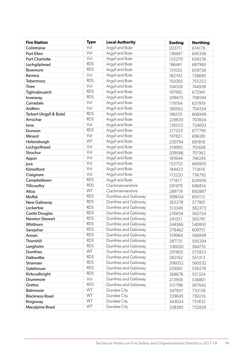| <b>Fire Station</b>     | <b>Type</b>              | <b>Local Authority</b> | <b>Easting</b> | <b>Northing</b> |
|-------------------------|--------------------------|------------------------|----------------|-----------------|
| Colintraive             | Vol                      | Argyll and Bute        | 203711         | 674178          |
| Port Ellen              | Vol                      | Argyll and Bute        | 136667         | 645356          |
| <b>Port Charlotte</b>   | Vol                      | Argyll and Bute        | 125270         | 658236          |
| Lochgilphead            | <b>RDS</b>               | Argyll and Bute        | 186461         | 687960          |
| Bowmore                 | <b>RDS</b>               | Argyll and Bute        | 131035         | 659728          |
| Kerrera                 | Vol                      | Argyll and Bute        | 182743         | 728685          |
| Tobermory               | <b>RDS</b>               | Argyll and Bute        | 150305         | 755252          |
| <b>Tiree</b>            | Vol                      | Argyll and Bute        | 104326         | 744938          |
| Tighnabruaich           | <b>RDS</b>               | Argyll and Bute        | 197992         | 672941          |
| Inveraray               | <b>RDS</b>               | Argyll and Bute        | 209472         | 708594          |
| Carradale               | Vol                      | Argyll and Bute        | 179764         | 637919          |
| Ardfern                 | Vol                      | Argyll and Bute        | 180562         | 704334          |
| Tarbert (Argyll & Bute) | <b>RDS</b>               | Argyll and Bute        | 186510         | 668949          |
| Arrochar                | <b>RDS</b>               | Argyll and Bute        | 229835         | 703824          |
| lona                    | Vol                      | Argyll and Bute        | 128553         | 724003          |
| Dunoon                  | <b>RDS</b>               | Argyll and Bute        | 217253         | 677795          |
| Minard                  | Vol                      | Argyll and Bute        | 197821         | 696281          |
| Helensburgh             | WT                       | Argyll and Bute        | 230794         | 681818          |
| Lochgoilhead            | Vol                      | Argyll and Bute        | 219992         | 701608          |
| Strachur                | Vol                      | Argyll and Bute        | 209586         | 701363          |
| Appin                   | Vol                      | Argyll and Bute        | 193644         | 746245          |
| Jura                    | Vol                      | Argyll and Bute        | 152752         | 666935          |
| Kilmelford              | Vol                      | Argyll and Bute        | 184423         | 712616          |
| Craignure               | Vol                      | Argyll and Bute        | 172220         | 736792          |
| Campbeltown             | <b>RDS</b>               | Argyll and Bute        | 171817         | 620936          |
| Tillicoultry            | <b>RDS</b>               | Clackmannanshire       | 291979         | 696814          |
| Alloa                   | WT                       | Clackmannanshire       | 289719         | 692887          |
| Moffat                  | <b>RDS</b>               | Dumfries and Galloway  | 309034         | 605112          |
| New Galloway            | <b>RDS</b>               | Dumfries and Galloway  | 263278         | 577801          |
| Lockerbie               | <b>RDS</b>               | Dumfries and Galloway  | 313349         | 582373          |
| Castle Douglas          | <b>RDS</b>               | Dumfries and Galloway  | 276834         | 562724          |
| <b>Newton Stewart</b>   | <b>RDS</b>               | Dumfries and Galloway  | 241051         | 565781          |
| Whithorn                | <b>RDS</b>               | Dumfries and Galloway  | 244566         | 540910          |
| Sanquhar                | <b>RDS</b>               | Dumfries and Galloway  | 278462         | 609751          |
| Annan                   | <b>RDS</b><br><b>RDS</b> | Dumfries and Galloway  | 319984         | 566849          |
| Thornhill               |                          | Dumfries and Galloway  | 287731         | 595204          |
| Langholm                | <b>RDS</b>               | Dumfries and Galloway  | 336020         | 584710          |
| <b>Dumfries</b>         | WT                       | Dumfries and Galloway  | 297805         | 575923          |
| Dalbeattie              | <b>RDS</b>               | Dumfries and Galloway  | 283162         | 561313          |
| Stranraer               | <b>RDS</b><br><b>RDS</b> | Dumfries and Galloway  | 206052         | 560532          |
| Gatehouse               | <b>RDS</b>               | Dumfries and Galloway  | 259561         | 556578          |
| Kirkcudbright           | Vol                      | Dumfries and Galloway  | 268676         | 551324          |
| Drummore                |                          | Dumfries and Galloway  | 213958         | 536801          |
| Gretna                  | <b>RDS</b><br>WT         | Dumfries and Galloway  | 331798         | 567042          |
| <b>Balmossie</b>        | WT                       | Dundee City            | 347937         | 732158          |
| <b>Blackness Road</b>   | WT                       | Dundee City            | 339045         | 730216          |
| Kingsway                |                          | Dundee City            | 343024         | 731832          |
| Macalpine Road          | WT                       | Dundee City            | 338385         | 732858          |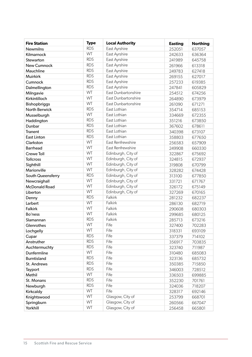| <b>Fire Station</b>  | <b>Type</b> | <b>Local Authority</b> | <b>Easting</b> | <b>Northing</b> |
|----------------------|-------------|------------------------|----------------|-----------------|
| <b>Newmilns</b>      | <b>RDS</b>  | East Ayrshire          | 252051         | 637057          |
| Kilmarnock           | WT          | East Ayrshire          | 242633         | 636364          |
| Stewarton            | <b>RDS</b>  | East Ayrshire          | 241989         | 645758          |
| <b>New Cumnock</b>   | <b>RDS</b>  | East Ayrshire          | 261966         | 613318          |
| Mauchline            | <b>RDS</b>  | East Ayrshire          | 249783         | 627418          |
| <b>Muirkirk</b>      | <b>RDS</b>  | East Ayrshire          | 269155         | 627017          |
| Cumnock              | <b>RDS</b>  | East Ayrshire          | 257233         | 619385          |
| Dalmellington        | <b>RDS</b>  | East Ayrshire          | 247841         | 605829          |
| Milngavie            | WT          | East Dunbartonshire    | 254512         | 674256          |
| Kirkintilloch        | <b>WT</b>   | East Dunbartonshire    | 264890         | 673979          |
| Bishopbriggs         | WT          | East Dunbartonshire    | 261090         | 671271          |
| <b>North Berwick</b> | <b>RDS</b>  | East Lothian           | 354714         | 685153          |
| Musselburgh          | WT          | East Lothian           | 334669         | 672355          |
| Haddington           | <b>RDS</b>  | East Lothian           | 351216         | 673850          |
| Dunbar               | <b>RDS</b>  | East Lothian           | 367602         | 678611          |
| <b>Tranent</b>       | <b>RDS</b>  | East Lothian           | 340398         | 673107          |
| <b>East Linton</b>   | <b>RDS</b>  | East Lothian           | 358803         | 677650          |
| Clarkston            | WT          | East Renfrewshire      | 256583         | 657909          |
| <b>Barrhead</b>      | WT          | East Renfrewshire      | 249908         | 660330          |
| <b>Crewe Toll</b>    | WT          | Edinburgh, City of     | 322867         | 675692          |
| <b>Tollcross</b>     | WT          | Edinburgh, City of     | 324815         | 672937          |
| Sighthill            | WT          | Edinburgh, City of     | 319808         | 670799          |
| Marionville          | WT          | Edinburgh, City of     | 328282         | 674428          |
| South Queensferry    | <b>RDS</b>  | Edinburgh, City of     | 313100         | 677850          |
| Newcraighall         | WT          | Edinburgh, City of     | 331721         | 671767          |
| <b>McDonald Road</b> | WT          | Edinburgh, City of     | 326172         | 675149          |
| Liberton             | WT          | Edinburgh, City of     | 327269         | 670165          |
| Denny                | <b>RDS</b>  | <b>Falkirk</b>         | 281232         | 682237          |
| Larbert              | WT          | Falkirk                | 286130         | 682719          |
| <b>Falkirk</b>       | WT          | Falkirk                | 290608         | 680303          |
| Bo'ness              | WT          | Falkirk                | 299685         | 680125          |
| Slamannan            | <b>RDS</b>  | Falkirk                | 285713         | 673216          |
| Glenrothes           | WT          | Fife                   | 327400         | 702283          |
| Lochgelly            | WT          | Fife                   | 318331         | 693109          |
| Cupar                | <b>RDS</b>  | Fife                   | 337379         | 714102          |
| Anstruther           | <b>RDS</b>  | Fife                   | 356917         | 703835          |
| Auchtermuchty        | <b>RDS</b>  | Fife                   | 323740         | 711987          |
| Dunfermline          | WT          | Fife                   | 310480         | 685083          |
| <b>Burntisland</b>   | <b>RDS</b>  | Fife                   | 323136         | 685732          |
| St. Andrews          | <b>RDS</b>  | Fife                   | 350385         | 715850          |
| Tayport              | <b>RDS</b>  | Fife                   | 346003         | 728512          |
| Methil               | WT          | Fife                   | 336503         | 699885          |
| St. Monans           | <b>RDS</b>  | Fife                   | 352230         | 701761          |
| Newburgh             | <b>RDS</b>  | Fife                   | 324036         | 718207          |
| Kirkcaldy            | WT          | Fife                   | 328317         | 692146          |
| Knightswood          | WT          | Glasgow, City of       | 253799         | 668701          |
| Springburn           | WT          | Glasgow, City of       | 260566         | 667047          |
| Yorkhill             | WT          | Glasgow, City of       | 256458         | 665801          |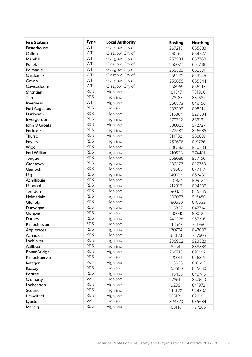| <b>Fire Station</b>  | <b>Type</b> | <b>Local Authority</b> | <b>Easting</b> | <b>Northing</b> |
|----------------------|-------------|------------------------|----------------|-----------------|
| Easterhouse          | WT          | Glasgow, City of       | 267216         | 665883          |
| Calton               | WT          | Glasgow, City of       | 260162         | 664777          |
| Maryhill             | WT          | Glasgow, City of       | 257534         | 667760          |
| Pollok               | WT          | Glasgow, City of       | 253074         | 661748          |
| Polmadie             | WT          | Glasgow, City of       | 259389         | 662501          |
| Castlemilk           | WT          | Glasgow, City of       | 259202         | 659246          |
| Govan                | WT          | Glasgow, City of       | 255655         | 665544          |
| Cowcaddens           | WT          | Glasgow, City of       | 258959         | 666218          |
| Strontian            | <b>RDS</b>  | Highland               | 181547         | 761990          |
| Tain                 | <b>RDS</b>  | Highland               | 278183         | 881685          |
| Inverness            | WT          | Highland               | 266873         | 846150          |
| <b>Fort Augustus</b> | <b>RDS</b>  | Highland               | 237396         | 808214          |
| Dunbeath             | <b>RDS</b>  | Highland               | 315864         | 929584          |
| Invergordon          | <b>RDS</b>  | Highland               | 270722         | 869191          |
| John O Groats        | <b>RDS</b>  | Highland               | 338020         | 972727          |
| Fortrose             | <b>RDS</b>  | Highland               | 272580         | 856685          |
| Thurso               | <b>RDS</b>  | Highland               | 311782         | 968009          |
| Foyers               | <b>RDS</b>  | Highland               | 252606         | 819726          |
| <b>Wick</b>          | <b>RDS</b>  | Highland               | 336583         | 950884          |
| <b>Fort William</b>  | <b>RDS</b>  | Highland               | 210533         | 774481          |
| Tongue               | <b>RDS</b>  | Highland               | 259088         | 957150          |
| Grantown             | <b>RDS</b>  | Highland               | 303377         | 827753          |
| Gairloch             | <b>RDS</b>  | Highland               | 179683         | 877417          |
| Uig                  | <b>RDS</b>  | Highland               | 140012         | 863430          |
| Achiltibuie          | <b>RDS</b>  | Highland               | 201934         | 909124          |
| Ullapool             | <b>RDS</b>  | Highland               | 212919         | 894336          |
| Torridon             | <b>RDS</b>  | Highland               | 190358         | 855845          |
| Helmsdale            | <b>RDS</b>  | Highland               | 303067         | 915450          |
| Glenelg              | <b>RDS</b>  | Highland               | 180630         | 818632          |
| Dunvegan             | <b>RDS</b>  | Highland               | 125357         | 847714          |
| Golspie              | <b>RDS</b>  | Highland               | 283040         | 900121          |
| <b>Durness</b>       | <b>RDS</b>  | Highland               | 240328         | 967316          |
| Kinlochleven         | <b>RDS</b>  | Highland               | 218647         | 761980          |
| Applecross           | <b>RDS</b>  | Highland               | 170724         | 843082          |
| Acharacle            | <b>RDS</b>  | Highland               | 168173         | 767506          |
| Lochinver            | <b>RDS</b>  | Highland               | 209962         | 923523          |
| Aultbea              | <b>RDS</b>  | Highland               | 187549         | 888888          |
| <b>Bonar Bridge</b>  | <b>RDS</b>  | Highland               | 260716         | 891482          |
| Kinlochbervie        | <b>RDS</b>  | Highland               | 222011         | 956321          |
| Ratagan              | Vol         | Highland               | 193628         | 818683          |
| Raasay               | <b>RDS</b>  | Highland               | 155500         | 835640          |
| Portree              | <b>RDS</b>  | Highland               | 148453         | 843746          |
| Cromarty             | Vol         | Highland               | 278611         | 867650          |
| Lochcarron           | <b>RDS</b>  | Highland               | 192091         | 841972          |
| Scourie              | <b>RDS</b>  | Highland               | 215128         | 944307          |
| <b>Broadford</b>     | <b>RDS</b>  | Highland               | 165120         | 823181          |
| Lybster              | Vol         | Highland               | 324770         | 935684          |
| Mallaig              | <b>RDS</b>  | Highland               | 168118         | 797285          |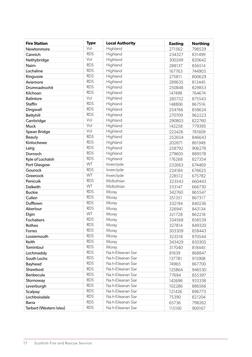| <b>Fire Station</b>     | <b>Type</b> | <b>Local Authority</b> | <b>Easting</b> | <b>Northing</b> |
|-------------------------|-------------|------------------------|----------------|-----------------|
| Newtonmore              | Vol         | Highland               | 271562         | 798529          |
| Cannich                 | <b>RDS</b>  | Highland               | 234327         | 831499          |
| Nethybridge             | Vol         | Highland               | 300249         | 820642          |
| Nairn                   | <b>RDS</b>  | Highland               | 288137         | 856514          |
| Lochaline               | <b>RDS</b>  | Highland               | 167763         | 744903          |
| Kingussie               | <b>RDS</b>  | Highland               | 275811         | 800629          |
| Aviemore                | <b>RDS</b>  | Highland               | 289635         | 813445          |
| Drumnadrochit           | <b>RDS</b>  | Highland               | 250848         | 829853          |
| Kilchoan                | <b>RDS</b>  | Highland               | 147498         | 764674          |
| <b>Balintore</b>        | Vol         | Highland               | 285732         | 875543          |
| <b>Staffin</b>          | <b>RDS</b>  | Highland               | 148806         | 867516          |
| Dingwall                | <b>RDS</b>  | Highland               | 254766         | 858624          |
| Bettyhill               | <b>RDS</b>  | Highland               | 270709         | 962223          |
| Carrbridge              | Vol         | Highland               | 290803         | 822760          |
| Muck                    | Vol         | Highland               | 142258         | 779395          |
| Spean Bridge            | Vol         | Highland               | 222426         | 781609          |
| <b>Beauly</b>           | <b>RDS</b>  | Highland               | 252654         | 846643          |
| Kinlochewe              | <b>RDS</b>  | Highland               | 202871         | 861949          |
| Lairg                   | <b>RDS</b>  | Highland               | 258792         | 906278          |
| Dornoch                 | <b>RDS</b>  | Highland               | 279605         | 889578          |
| Kyle of Lochalsh        | <b>RDS</b>  | Highland               | 176268         | 827354          |
| Port Glasgow            | WT          | Inverclyde             | 232663         | 674469          |
| Gourock                 | <b>RDS</b>  | Inverclyde             | 224184         | 676625          |
| Greenock                | WT          | Inverclyde             | 228512         | 675782          |
| Penicuik                | <b>RDS</b>  | Midlothian             | 323543         | 660443          |
| <b>Dalkeith</b>         | WT          | Midlothian             | 333147         | 666730          |
| <b>Buckie</b>           | <b>RDS</b>  | Moray                  | 342760         | 865547          |
| Cullen                  | <b>RDS</b>  | Moray                  | 351351         | 867317          |
| Dufftown                | <b>RDS</b>  | Moray                  | 332194         | 840236          |
| Aberlour                | <b>RDS</b>  | Moray                  | 326941         | 843134          |
| Elgin                   | WT          | Moray                  | 321728         | 862218          |
| Fochabers               | <b>RDS</b>  | Moray                  | 334568         | 858539          |
| Rothes                  | <b>RDS</b>  | Moray                  | 327814         | 849320          |
| Forres                  | <b>RDS</b>  | Moray                  | 303309         | 858443          |
| Lossiemouth             | <b>RDS</b>  | Moray                  | 323518         | 870544          |
| Keith                   | <b>RDS</b>  | Moray                  | 343429         | 850305          |
| Tomintoul               | <b>RDS</b>  | Moray                  | 317040         | 818445          |
| Lochmaddy               | <b>RDS</b>  | Na h-Eileanan Siar     | 91839          | 868847          |
| South Lochs             | <b>RDS</b>  | Na h-Eileanan Siar     | 137781         | 915908          |
| Bayhead                 | <b>RDS</b>  | Na h-Eileanan Siar     | 74965          | 867700          |
| Shawbost                | <b>RDS</b>  | Na h-Eileanan Siar     | 125864         | 946530          |
| Benbecula               | <b>RDS</b>  | Na h-Eileanan Siar     | 77694          | 855397          |
| Stornoway               | <b>RDS</b>  | Na h-Eileanan Siar     | 142696         | 933338          |
| Leverburgh              | <b>RDS</b>  | Na h-Eileanan Siar     | 102286         | 886566          |
| Scalpay                 | <b>RDS</b>  | Na h-Eileanan Siar     | 121426         | 896773          |
| Lochboisdale            | <b>RDS</b>  | Na h-Eileanan Siar     | 75390          | 821204          |
| <b>Barra</b>            | <b>RDS</b>  | Na h-Eileanan Siar     | 65736          | 798262          |
| Tarbert (Western Isles) | <b>RDS</b>  | Na h-Eileanan Siar     | 115100         | 900167          |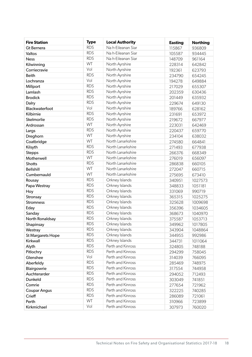| <b>Fire Station</b> | <b>Type</b> | <b>Local Authority</b> | <b>Easting</b> | <b>Northing</b> |
|---------------------|-------------|------------------------|----------------|-----------------|
| <b>Gt Bernera</b>   | <b>RDS</b>  | Na h-Eileanan Siar     | 115867         | 936809          |
| Valtos              | <b>RDS</b>  | Na h-Eileanan Siar     | 105587         | 934445          |
| <b>Ness</b>         | <b>RDS</b>  | Na h-Eileanan Siar     | 148709         | 961164          |
| Kilwinning          | WT          | North Ayrshire         | 228314         | 642842          |
| Corriecravie        | Vol         | North Ayrshire         | 192361         | 623793          |
| <b>Beith</b>        | <b>RDS</b>  | North Ayrshire         | 234790         | 654245          |
| Lochranza           | Vol         | North Ayrshire         | 194278         | 649884          |
| Millport            | <b>RDS</b>  | North Ayrshire         | 217029         | 655307          |
| Lamlash             | <b>RDS</b>  | North Ayrshire         | 202359         | 630436          |
| <b>Brodick</b>      | <b>RDS</b>  | North Ayrshire         | 201449         | 635932          |
| Dalry               | <b>RDS</b>  | North Ayrshire         | 229674         | 649130          |
| Blackwaterfoot      | Vol         | North Ayrshire         | 189766         | 628162          |
| Kilbirnie           | <b>RDS</b>  | North Ayrshire         | 231691         | 653972          |
| Skelmorlie          | <b>RDS</b>  | North Ayrshire         | 219672         | 667977          |
| Ardrossan           | WT          | North Ayrshire         | 223031         | 642469          |
| Largs               | <b>RDS</b>  | North Ayrshire         | 220437         | 659770          |
| Dreghorn            | WT          | North Ayrshire         | 234104         | 638032          |
| Coatbridge          | WT          | North Lanarkshire      | 274580         | 664841          |
| Kilsyth             | <b>RDS</b>  | North Lanarkshire      | 271493         | 677938          |
| <b>Stepps</b>       | <b>RDS</b>  | North Lanarkshire      | 266376         | 668349          |
| Motherwell          | WT          | North Lanarkshire      | 276019         | 656097          |
| <b>Shotts</b>       | <b>RDS</b>  | North Lanarkshire      | 286838         | 660105          |
| <b>Bellshill</b>    | WT          | North Lanarkshire      | 272047         | 660715          |
| Cumbernauld         | WT          | North Lanarkshire      | 275695         | 673410          |
| Rousay              | <b>RDS</b>  | Orkney Islands         | 340951         | 1027573         |
| Papa Westray        | <b>RDS</b>  | Orkney Islands         | 348833         | 1051181         |
| Hoy                 | <b>RDS</b>  | Orkney Islands         | 331069         | 990719          |
| Stronsay            | <b>RDS</b>  | Orkney Islands         | 365315         | 1025275         |
| <b>Stromness</b>    | <b>RDS</b>  | Orkney Islands         | 325628         | 1009698         |
| Eday                | <b>RDS</b>  | Orkney Islands         | 356396         | 1034605         |
| Sanday              | <b>RDS</b>  | Orkney Islands         | 368673         | 1040970         |
| North Ronaldsay     | <b>RDS</b>  | Orkney Islands         | 375587         | 1053713         |
| Shapinsay           | <b>RDS</b>  | Orkney Islands         | 349962         | 1017805         |
| Westray             | <b>RDS</b>  | Orkney Islands         | 343904         | 1048864         |
| St Margarets Hope   | <b>RDS</b>  | Orkney Islands         | 344955         | 992986          |
| Kirkwall            | <b>RDS</b>  | Orkney Islands         | 344731         | 1011064         |
| Alyth               | <b>RDS</b>  | Perth and Kinross      | 324805         | 748188          |
| Pitlochry           | <b>RDS</b>  | Perth and Kinross      | 294299         | 758045          |
| Glenshee            | Vol         | Perth and Kinross      | 314039         | 766095          |
| Aberfeldy           | <b>RDS</b>  | Perth and Kinross      | 285469         | 748975          |
| Blairgowrie         | <b>RDS</b>  | Perth and Kinross      | 317554         | 744958          |
| Auchterarder        | <b>RDS</b>  | Perth and Kinross      | 294052         | 712493          |
| Dunkeld             | <b>RDS</b>  | Perth and Kinross      | 303049         | 741851          |
| Comrie              | <b>RDS</b>  | Perth and Kinross      | 277654         | 721962          |
| Coupar Angus        | <b>RDS</b>  | Perth and Kinross      | 322225         | 740285          |
| Crieff              | <b>RDS</b>  | Perth and Kinross      | 286089         | 721061          |
| Perth               | WT          | Perth and Kinross      | 310966         | 723899          |
| Kirkmichael         | Vol         | Perth and Kinross      | 307973         | 760020          |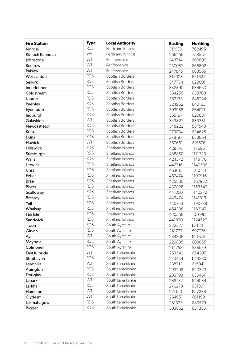| <b>Fire Station</b>  | <b>Type</b> | <b>Local Authority</b>  | <b>Easting</b> | <b>Northing</b> |
|----------------------|-------------|-------------------------|----------------|-----------------|
| Kinross              | <b>RDS</b>  | Perth and Kinross       | 311930         | 702495          |
| Kinloch Rannoch      | Vol         | Perth and Kinross       | 266256         | 758515          |
| Johnstone            | WT          | Renfrewshire            | 243714         | 662806          |
| Renfrew              | WT          | Renfrewshire            | 250087         | 666802          |
| Paisley              | WT          | Renfrewshire            | 247845         | 663565          |
| <b>West Linton</b>   | <b>RDS</b>  | <b>Scottish Borders</b> | 315028         | 651625          |
| <b>Selkirk</b>       | <b>RDS</b>  | <b>Scottish Borders</b> | 347754         | 629001          |
| Innerleithen         | <b>RDS</b>  | <b>Scottish Borders</b> | 332890         | 636660          |
| Coldstream           | <b>RDS</b>  | <b>Scottish Borders</b> | 384255         | 639700          |
| Lauder               | <b>RDS</b>  | Scottish Borders        | 352138         | 648224          |
| Peebles              | <b>RDS</b>  | <b>Scottish Borders</b> | 324962         | 640165          |
| Eyemouth             | <b>RDS</b>  | <b>Scottish Borders</b> | 393988         | 664071          |
| Jedburgh             | <b>RDS</b>  | <b>Scottish Borders</b> | 365197         | 620881          |
| Galashiels           | WT          | Scottish Borders        | 349827         | 635381          |
| Newcastleton         | <b>RDS</b>  | Scottish Borders        | 348222         | 587548          |
| Kelso                | <b>RDS</b>  | Scottish Borders        | 373074         | 634625          |
| Duns                 | <b>RDS</b>  | <b>Scottish Borders</b> | 378197         | 653864          |
| Hawick               | WT          | <b>Scottish Borders</b> | 350651         | 615676          |
| <b>Hillswick</b>     | <b>RDS</b>  | Shetland Islands        | 428176         | 1176961         |
| Sumburgh             | <b>RDS</b>  | Shetland Islands        | 438850         | 1111723         |
| <b>Walls</b>         | <b>RDS</b>  | Shetland Islands        | 424372         | 1149170         |
| Lerwick              | <b>RDS</b>  | Shetland Islands        | 446716         | 1140536         |
| Unst                 | <b>RDS</b>  | Shetland Islands        | 463613         | 1210114         |
| Fetlar               | <b>RDS</b>  | Shetland Islands        | 462474         | 1190916         |
| <b>Brae</b>          | <b>RDS</b>  | Shetland Islands        | 435830         | 1167932         |
| <b>Bixter</b>        | <b>RDS</b>  | Shetland Islands        | 432828         | 1153547         |
| Scalloway            | <b>RDS</b>  | Shetland Islands        | 441050         | 1140272         |
| <b>Bressay</b>       | <b>RDS</b>  | Shetland Islands        | 449474         | 1141316         |
| Yell                 | <b>RDS</b>  | Shetland Islands        | 450764         | 1190788         |
| Whalsay              | <b>RDS</b>  | Shetland Islands        | 454338         | 1162147         |
| Fair Isle            | <b>RDS</b>  | Shetland Islands        | 420558         | 1070962         |
| Sandwick             | <b>RDS</b>  | Shetland Islands        | 441890         | 1124522         |
| Troon                | <b>RDS</b>  | South Ayrshire          | 232377         | 631241          |
| Girvan               | <b>RDS</b>  | South Ayrshire          | 218727         | 597076          |
| Ayr                  | <b>WT</b>   | South Ayrshire          | 234306         | 621675          |
| Maybole              | <b>RDS</b>  | South Ayrshire          | 229835         | 609855          |
| Colmonell            | <b>RDS</b>  | South Ayrshire          | 214753         | 586079          |
| <b>East Kilbride</b> | WT          | South Lanarkshire       | 263542         | 654207          |
| Strathaven           | <b>RDS</b>  | South Lanarkshire       | 270434         | 644280          |
| Leadhills            | Vol         | South Lanarkshire       | 288713         | 615041          |
| Abington             | <b>RDS</b>  | South Lanarkshire       | 293208         | 623323          |
| Douglas              | <b>RDS</b>  | South Lanarkshire       | 283798         | 630461          |
| Lanark               | WT          | South Lanarkshire       | 288177         | 644034          |
| Larkhall             | <b>RDS</b>  | South Lanarkshire       | 276278         | 651391          |
| Hamilton             | WT          | South Lanarkshire       | 271150         | 657288          |
| Clydesmill           | WT          | South Lanarkshire       | 264951         | 661199          |
| Lesmahagow           | <b>RDS</b>  | South Lanarkshire       | 281323         | 640579          |
| <b>Biggar</b>        | <b>RDS</b>  | South Lanarkshire       | 303862         | 637356          |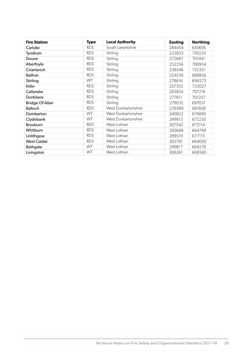| <b>Fire Station</b>    | <b>Type</b> | <b>Local Authority</b> | <b>Easting</b> | <b>Northing</b> |
|------------------------|-------------|------------------------|----------------|-----------------|
| Carluke                | <b>RDS</b>  | South Lanarkshire      | 284454         | 650695          |
| Tyndrum                | <b>RDS</b>  | Stirling               | 232833         | 730235          |
| Doune                  | <b>RDS</b>  | Stirling               | 272687         | 701441          |
| Aberfoyle              | <b>RDS</b>  | Stirling               | 252256         | 700954          |
| Crianlarich            | <b>RDS</b>  | Stirling               | 238546         | 725351          |
| <b>Balfron</b>         | <b>RDS</b>  | Stirling               | 254558         | 688856          |
| Stirling               | WT          | Stirling               | 278616         | 694273          |
| Killin                 | <b>RDS</b>  | Stirling               | 257355         | 733027          |
| Callander              | <b>RDS</b>  | Stirling               | 263824         | 707216          |
| Dunblane               | <b>RDS</b>  | Stirling               | 277811         | 701257          |
| <b>Bridge Of Allan</b> | <b>RDS</b>  | Stirling               | 279035         | 697031          |
| <b>Balloch</b>         | <b>RDS</b>  | West Dunbartonshire    | 239389         | 681858          |
| Dumbarton              | WT          | West Dunbartonshire    | 240822         | 674890          |
| Clydebank              | WT          | West Dunbartonshire    | 249813         | 672235          |
| Broxburn               | <b>RDS</b>  | West Lothian           | 307542         | 672114          |
| Whitburn               | <b>RDS</b>  | West Lothian           | 293688         | 664799          |
| Linlithgow             | <b>RDS</b>  | West Lothian           | 299519         | 677115          |
| <b>West Calder</b>     | <b>RDS</b>  | West Lothian           | 302781         | 664050          |
| Bathgate               | WT          | West Lothian           | 299817         | 668276          |
| Livingston             | WT          | West Lothian           | 306261         | 668560          |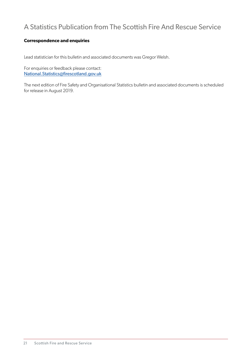# A Statistics Publication from The Scottish Fire And Rescue Service

#### **Correspondence and enquiries**

Lead statistician for this bulletin and associated documents was Gregor Welsh.

For enquiries or feedback please contact: National.Statistics@firescotland.gov.uk

The next edition of Fire Safety and Organisational Statistics bulletin and associated documents is scheduled for release in August 2019.